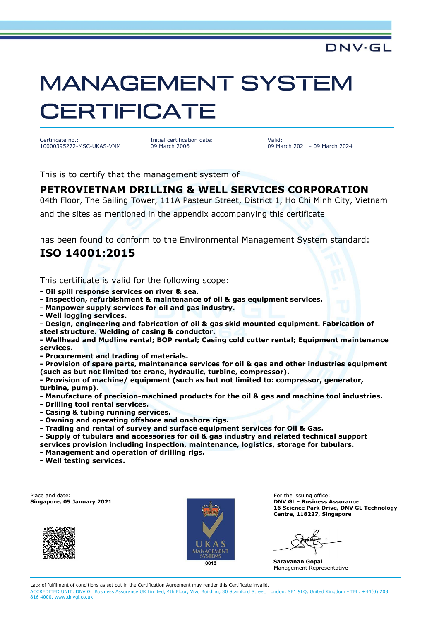# **MANAGEMENT SYSTEM CERTIFICATE**

Certificate no.: 10000395272-MSC-UKAS-VNM Initial certification date: 09 March 2006

Valid: 09 March 2021 – 09 March 2024

DNV·GL

This is to certify that the management system of

#### **PETROVIETNAM DRILLING & WELL SERVICES CORPORATION**

04th Floor, The Sailing Tower, 111A Pasteur Street, District 1, Ho Chi Minh City, Vietnam

and the sites as mentioned in the appendix accompanying this certificate

has been found to conform to the Environmental Management System standard:

### **ISO 14001:2015**

This certificate is valid for the following scope:

- **- Oil spill response services on river & sea.**
- **- Inspection, refurbishment & maintenance of oil & gas equipment services.**
- **- Manpower supply services for oil and gas industry.**
- **- Well logging services.**

**- Design, engineering and fabrication of oil & gas skid mounted equipment. Fabrication of steel structure. Welding of casing & conductor.**

**- Wellhead and Mudline rental; BOP rental; Casing cold cutter rental; Equipment maintenance services.**

**- Procurement and trading of materials.**

**- Provision of spare parts, maintenance services for oil & gas and other industries equipment (such as but not limited to: crane, hydraulic, turbine, compressor).**

**- Provision of machine/ equipment (such as but not limited to: compressor, generator, turbine, pump).**

**- Manufacture of precision-machined products for the oil & gas and machine tool industries.**

- **- Drilling tool rental services.**
- **- Casing & tubing running services.**
- **- Owning and operating offshore and onshore rigs.**
- **- Trading and rental of survey and surface equipment services for Oil & Gas.**
- **- Supply of tubulars and accessories for oil & gas industry and related technical support services provision including inspection, maintenance, logistics, storage for tubulars.**
- **- Management and operation of drilling rigs.**
- **- Well testing services.**

Place and date: For the issuing office: For the issuing office:





**Singapore, 05 January 2021 DNV GL - Business Assurance 16 Science Park Drive, DNV GL Technology Centre, 118227, Singapore**

**Saravanan Gopal** Management Representative

Lack of fulfilment of conditions as set out in the Certification Agreement may render this Certificate invalid. ACCREDITED UNIT: DNV GL Business Assurance UK Limited, 4th Floor, Vivo Building, 30 Stamford Street, London, SE1 9LQ, United Kingdom - TEL: +44(0) 203 816 4000. www.dnvgl.co.uk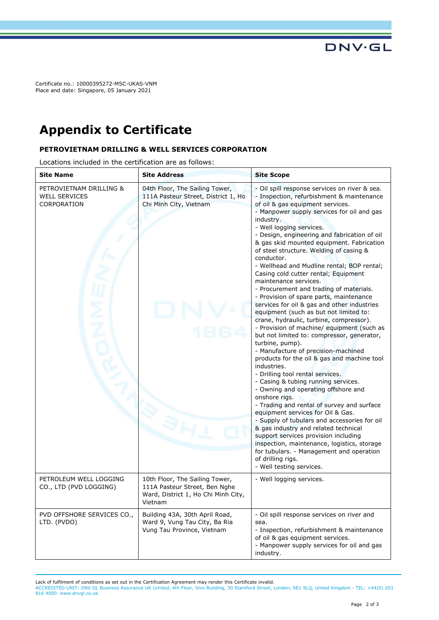Certificate no.: 10000395272-MSC-UKAS-VNM Place and date: Singapore, 05 January 2021

## **Appendix to Certificate**

#### **PETROVIETNAM DRILLING & WELL SERVICES CORPORATION**

Locations included in the certification are as follows:

| <b>Site Name</b>                                               | <b>Site Address</b>                                                                                               | <b>Site Scope</b>                                                                                                                                                                                                                                                                                                                                                                                                                                                                                                                                                                                                                                                                                                                                                                                                                                                                                                                                                                                                                                                                                                                                                                                                                                                                                                                                                                                                                          |
|----------------------------------------------------------------|-------------------------------------------------------------------------------------------------------------------|--------------------------------------------------------------------------------------------------------------------------------------------------------------------------------------------------------------------------------------------------------------------------------------------------------------------------------------------------------------------------------------------------------------------------------------------------------------------------------------------------------------------------------------------------------------------------------------------------------------------------------------------------------------------------------------------------------------------------------------------------------------------------------------------------------------------------------------------------------------------------------------------------------------------------------------------------------------------------------------------------------------------------------------------------------------------------------------------------------------------------------------------------------------------------------------------------------------------------------------------------------------------------------------------------------------------------------------------------------------------------------------------------------------------------------------------|
| PETROVIETNAM DRILLING &<br><b>WELL SERVICES</b><br>CORPORATION | 04th Floor, The Sailing Tower,<br>111A Pasteur Street, District 1, Ho<br>Chi Minh City, Vietnam                   | - Oil spill response services on river & sea.<br>- Inspection, refurbishment & maintenance<br>of oil & gas equipment services.<br>- Manpower supply services for oil and gas<br>industry.<br>- Well logging services.<br>- Design, engineering and fabrication of oil<br>& gas skid mounted equipment. Fabrication<br>of steel structure. Welding of casing &<br>conductor.<br>- Wellhead and Mudline rental; BOP rental;<br>Casing cold cutter rental; Equipment<br>maintenance services.<br>- Procurement and trading of materials.<br>- Provision of spare parts, maintenance<br>services for oil & gas and other industries<br>equipment (such as but not limited to:<br>crane, hydraulic, turbine, compressor).<br>- Provision of machine/ equipment (such as<br>but not limited to: compressor, generator,<br>turbine, pump).<br>- Manufacture of precision-machined<br>products for the oil & gas and machine tool<br>industries.<br>- Drilling tool rental services.<br>- Casing & tubing running services.<br>- Owning and operating offshore and<br>onshore rigs.<br>- Trading and rental of survey and surface<br>equipment services for Oil & Gas.<br>- Supply of tubulars and accessories for oil<br>& gas industry and related technical<br>support services provision including<br>inspection, maintenance, logistics, storage<br>for tubulars. - Management and operation<br>of drilling rigs.<br>- Well testing services. |
| PETROLEUM WELL LOGGING<br>CO., LTD (PVD LOGGING)               | 10th Floor, The Sailing Tower,<br>111A Pasteur Street, Ben Nghe<br>Ward, District 1, Ho Chi Minh City,<br>Vietnam | - Well logging services.                                                                                                                                                                                                                                                                                                                                                                                                                                                                                                                                                                                                                                                                                                                                                                                                                                                                                                                                                                                                                                                                                                                                                                                                                                                                                                                                                                                                                   |
| PVD OFFSHORE SERVICES CO.,<br>LTD. (PVDO)                      | Building 43A, 30th April Road,<br>Ward 9, Vung Tau City, Ba Ria<br>Vung Tau Province, Vietnam                     | - Oil spill response services on river and<br>sea.<br>- Inspection, refurbishment & maintenance<br>of oil & gas equipment services.<br>- Manpower supply services for oil and gas<br>industry.                                                                                                                                                                                                                                                                                                                                                                                                                                                                                                                                                                                                                                                                                                                                                                                                                                                                                                                                                                                                                                                                                                                                                                                                                                             |

Lack of fulfilment of conditions as set out in the Certification Agreement may render this Certificate invalid.

ACCREDITED UNIT: DNV GL Business Assurance UK Limited, 4th Floor, Vivo Building, 30 Stamford Street, London, SE1 9LQ, United Kingdom - TEL: +44(0) 203 816 4000. www.dnvgl.co.uk

**DNV·GL**